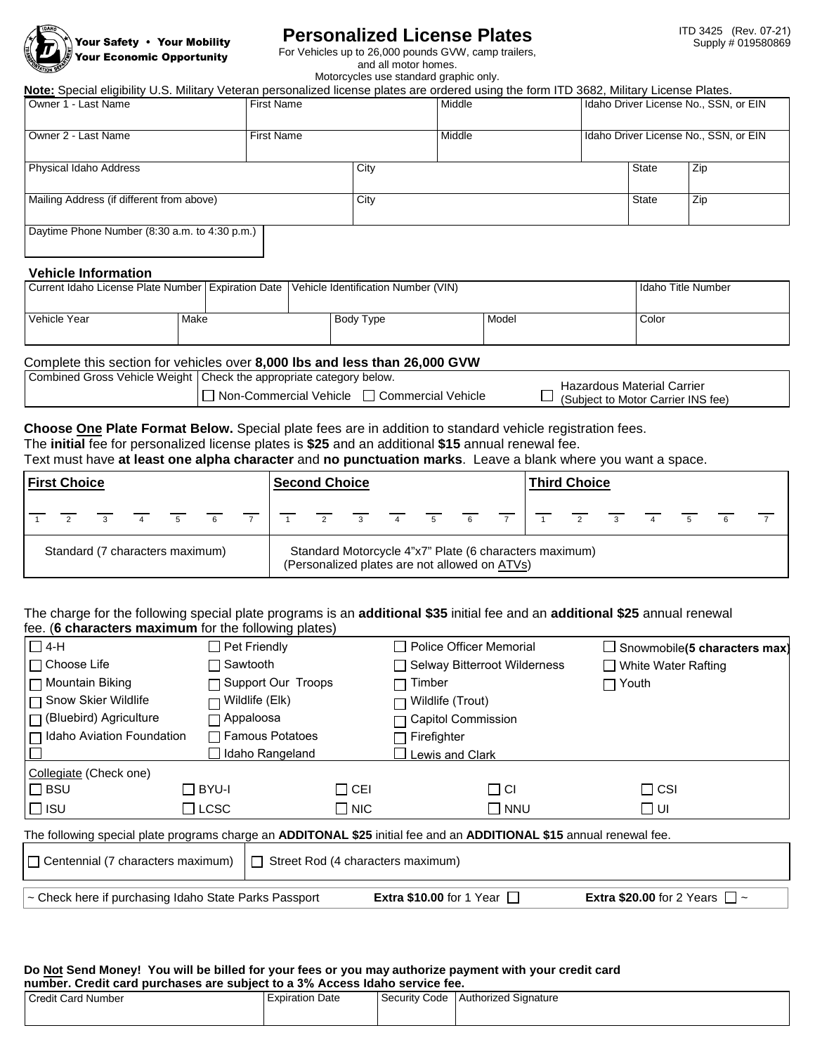

# **Personalized License Plates**

For Vehicles up to 26,000 pounds GVW, camp trailers,

and all motor homes. Motorcycles use standard graphic only.

| Owner 1 - Last Name                                                         |      | <b>First Name</b>                                                          | <b>Note:</b> Special eligibility U.S. Military Veteran personalized license plates are ordered using the form ITD 3682, Military License Plates.<br>Middle<br>Middle |       | Idaho Driver License No., SSN, or EIN                            |                                       |                           |
|-----------------------------------------------------------------------------|------|----------------------------------------------------------------------------|----------------------------------------------------------------------------------------------------------------------------------------------------------------------|-------|------------------------------------------------------------------|---------------------------------------|---------------------------|
| Owner 2 - Last Name                                                         |      | <b>First Name</b>                                                          |                                                                                                                                                                      |       |                                                                  | Idaho Driver License No., SSN, or EIN |                           |
| Physical Idaho Address                                                      |      |                                                                            | City                                                                                                                                                                 |       | <b>State</b>                                                     | Zip                                   |                           |
| Mailing Address (if different from above)                                   |      |                                                                            | City                                                                                                                                                                 |       | <b>State</b>                                                     | Zip                                   |                           |
| Daytime Phone Number (8:30 a.m. to 4:30 p.m.)<br><b>Vehicle Information</b> |      |                                                                            |                                                                                                                                                                      |       |                                                                  |                                       |                           |
| Current Idaho License Plate Number   Expiration Date                        |      |                                                                            | Vehicle Identification Number (VIN)                                                                                                                                  |       |                                                                  |                                       | <b>Idaho Title Number</b> |
| <b>Vehicle Year</b>                                                         | Make |                                                                            | Body Type                                                                                                                                                            | Model |                                                                  |                                       |                           |
|                                                                             |      | Complete this section for vehicles over 8,000 lbs and less than 26,000 GVW |                                                                                                                                                                      |       |                                                                  |                                       |                           |
|                                                                             |      | Combined Gross Vehicle Weight   Check the appropriate category below.      |                                                                                                                                                                      |       |                                                                  |                                       |                           |
| □ Non-Commercial Vehicle □ Commercial Vehicle                               |      |                                                                            |                                                                                                                                                                      |       | Hazardous Material Carrier<br>(Subject to Motor Carrier INS fee) |                                       |                           |

## **Choose One Plate Format Below.** Special plate fees are in addition to standard vehicle registration fees. The **initial** fee for personalized license plates is **\$25** and an additional **\$15** annual renewal fee.

Text must have **at least one alpha character** and **no punctuation marks**. Leave a blank where you want a space.

| <b>First Choice</b>             |                |                            |                     |  | <b>Second Choice</b>                                                                                    |                |  |  |                                                                   |  | <b>Third Choice</b> |  |                |             |  |                         |  |             |  |  |
|---------------------------------|----------------|----------------------------|---------------------|--|---------------------------------------------------------------------------------------------------------|----------------|--|--|-------------------------------------------------------------------|--|---------------------|--|----------------|-------------|--|-------------------------|--|-------------|--|--|
|                                 | $\overline{2}$ | $\overline{\phantom{a}}$ 3 | $4 \quad 5 \quad 6$ |  |                                                                                                         | $\overline{z}$ |  |  | $\begin{array}{cccccccccccccc} 1 & 2 & 3 & 4 & 5 & 6 \end{array}$ |  |                     |  | $\overline{7}$ | $1 \quad 2$ |  | $\overline{\mathbf{3}}$ |  | $5^{\circ}$ |  |  |
| Standard (7 characters maximum) |                |                            |                     |  | Standard Motorcycle 4"x7" Plate (6 characters maximum)<br>(Personalized plates are not allowed on ATVs) |                |  |  |                                                                   |  |                     |  |                |             |  |                         |  |             |  |  |

### The charge for the following special plate programs is an **additional \$35** initial fee and an **additional \$25** annual renewal fee. (**6 characters maximum** for the following plates)

| $\Box$ 4-H                                                                                                           | $\Box$ Pet Friendly                      |      | Police Officer Memorial                | $\Box$ Snowmobile(5 characters max)       |  |  |  |  |
|----------------------------------------------------------------------------------------------------------------------|------------------------------------------|------|----------------------------------------|-------------------------------------------|--|--|--|--|
| l ⊟ Choose Life                                                                                                      | コ Sawtooth                               |      | □ Selway Bitterroot Wilderness         | $\Box$ White Water Rafting                |  |  |  |  |
| l ⊟ Mountain Biking                                                                                                  | $\Box$ Support Our Troops                |      | Timber                                 | ヿ Youth                                   |  |  |  |  |
|                                                                                                                      | $\Box$ Wildlife (Elk)                    |      | Wildlife (Trout)                       |                                           |  |  |  |  |
| $\Box$ (Bluebird) Agriculture                                                                                        | $\neg$ Appaloosa                         |      | Capitol Commission                     |                                           |  |  |  |  |
| □ Idaho Aviation Foundation                                                                                          | □ Famous Potatoes                        |      | Firefighter                            |                                           |  |  |  |  |
|                                                                                                                      | Idaho Rangeland                          |      | Lewis and Clark                        |                                           |  |  |  |  |
| Collegiate (Check one)                                                                                               |                                          |      |                                        |                                           |  |  |  |  |
| $\Box$ BSU                                                                                                           | □ BYU-I                                  | ㄱCEI | ΠCΙ                                    | $\Box$ CSI                                |  |  |  |  |
| ∣⊡ ıs∪                                                                                                               | $\Box$ LCSC<br>$\Box$ NIC                |      | <b>NNU</b>                             | וט ⊟                                      |  |  |  |  |
| The following special plate programs charge an ADDITONAL \$25 initial fee and an ADDITIONAL \$15 annual renewal fee. |                                          |      |                                        |                                           |  |  |  |  |
| $\Box$ Centennial (7 characters maximum)                                                                             | $\Box$ Street Rod (4 characters maximum) |      |                                        |                                           |  |  |  |  |
| ~ Check here if purchasing Idaho State Parks Passport                                                                |                                          |      | <b>Extra \$10.00</b> for 1 Year $\Box$ | <b>Extra \$20.00</b> for 2 Years $\Box$ ~ |  |  |  |  |

#### **Do Not Send Money! You will be billed for your fees or you may authorize payment with your credit card number. Credit card purchases are subject to a 3% Access Idaho service fee.**

| Credit Card Number | Date<br>Expiration | Security Code | <b>Authorized Signature</b> |  |  |  |  |  |
|--------------------|--------------------|---------------|-----------------------------|--|--|--|--|--|
|                    |                    |               |                             |  |  |  |  |  |
|                    |                    |               |                             |  |  |  |  |  |